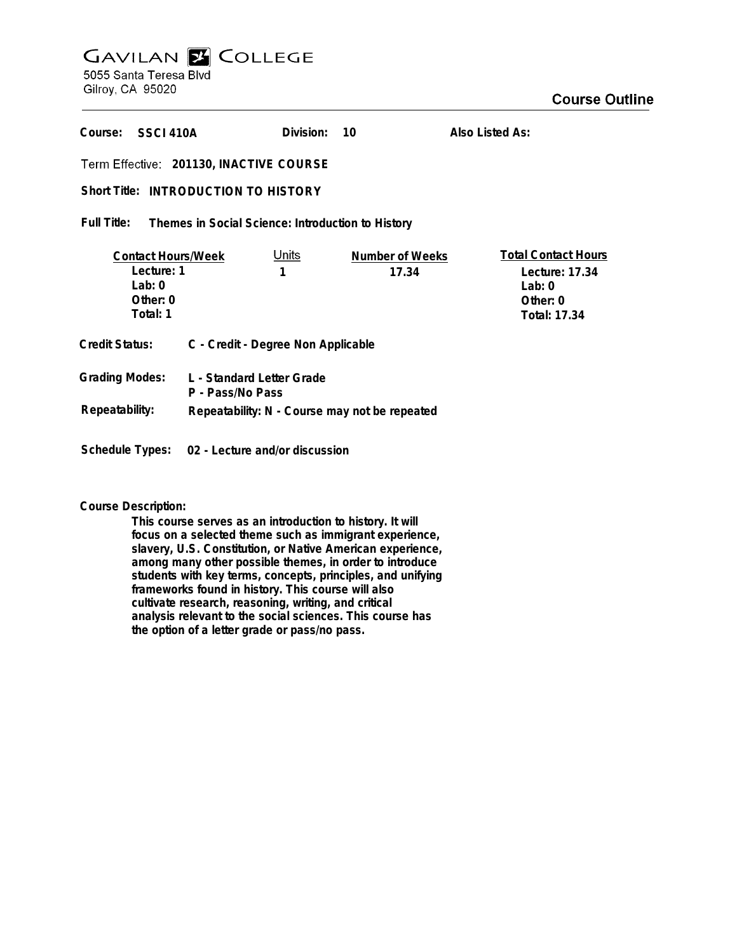# **GAVILAN E COLLEGE** 5055 Santa Teresa Blvd

Gilroy, CA 95020

**Also Listed As:**

**SSCI 410A Course: Division: 10**

**201130, INACTIVE COURSE**

# Short Title: INTRODUCTION TO HISTORY

#### **Themes in Social Science: Introduction to History Full Title:**

| <b>Contact Hours/Week</b>                      |                  | Units                              | Number of Weeks                               | <b>Total Contact Hours</b> |
|------------------------------------------------|------------------|------------------------------------|-----------------------------------------------|----------------------------|
| Lecture: 1                                     |                  |                                    | 17.34                                         | Lecture: 17.34             |
| $1$ ab: $0$                                    |                  |                                    |                                               | Lab: $0$                   |
| Other: $0$                                     |                  |                                    |                                               | Other: $0$                 |
| Total: 1                                       |                  |                                    |                                               | Total: 17.34               |
| <b>Credit Status:</b>                          |                  | C - Credit - Degree Non Applicable |                                               |                            |
| <b>Grading Modes:</b>                          | P - Pass/No Pass | L - Standard Letter Grade          |                                               |                            |
| Repeatability:                                 |                  |                                    | Repeatability: N - Course may not be repeated |                            |
|                                                |                  |                                    |                                               |                            |
| Schedule Types: 02 - Lecture and/or discussion |                  |                                    |                                               |                            |

# **Course Description:**

**This course serves as an introduction to history. It will focus on a selected theme such as immigrant experience, slavery, U.S. Constitution, or Native American experience, among many other possible themes, in order to introduce students with key terms, concepts, principles, and unifying frameworks found in history. This course will also cultivate research, reasoning, writing, and critical analysis relevant to the social sciences. This course has the option of a letter grade or pass/no pass.**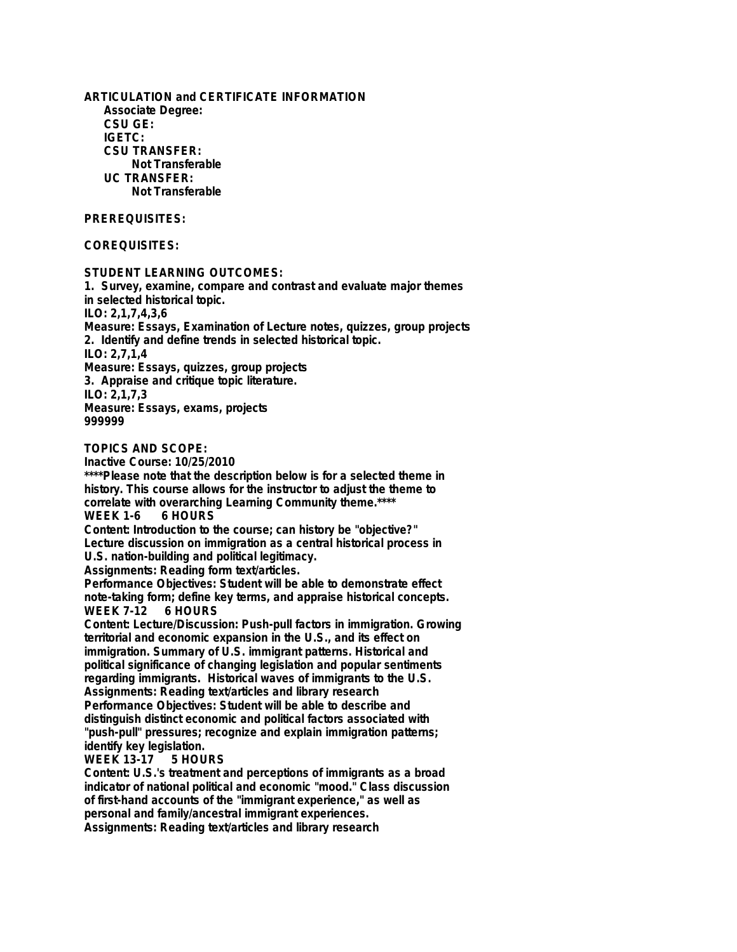**ARTICULATION and CERTIFICATE INFORMATION Associate Degree: CSU GE: IGETC: CSU TRANSFER: Not Transferable UC TRANSFER: Not Transferable**

### **PREREQUISITES:**

# **COREQUISITES:**

**STUDENT LEARNING OUTCOMES:**

**1. Survey, examine, compare and contrast and evaluate major themes in selected historical topic. ILO: 2,1,7,4,3,6 Measure: Essays, Examination of Lecture notes, quizzes, group projects 2. Identify and define trends in selected historical topic. ILO: 2,7,1,4 Measure: Essays, quizzes, group projects 3. Appraise and critique topic literature. ILO: 2,1,7,3 Measure: Essays, exams, projects 999999**

**TOPICS AND SCOPE:**

**Inactive Course: 10/25/2010**

**\*\*\*\*Please note that the description below is for a selected theme in history. This course allows for the instructor to adjust the theme to correlate with overarching Learning Community theme.\*\*\*\* WEEK 1-6 6 HOURS**

**Content: Introduction to the course; can history be "objective?" Lecture discussion on immigration as a central historical process in U.S. nation-building and political legitimacy.**

**Assignments: Reading form text/articles.**

**Performance Objectives: Student will be able to demonstrate effect note-taking form; define key terms, and appraise historical concepts. WEEK 7-12** 

**Content: Lecture/Discussion: Push-pull factors in immigration. Growing territorial and economic expansion in the U.S., and its effect on immigration. Summary of U.S. immigrant patterns. Historical and political significance of changing legislation and popular sentiments regarding immigrants. Historical waves of immigrants to the U.S. Assignments: Reading text/articles and library research Performance Objectives: Student will be able to describe and distinguish distinct economic and political factors associated with "push-pull" pressures; recognize and explain immigration patterns; identify key legislation.**

### **WEEK 13-17 5 HOURS**

**Content: U.S.'s treatment and perceptions of immigrants as a broad indicator of national political and economic "mood." Class discussion of first-hand accounts of the "immigrant experience," as well as personal and family/ancestral immigrant experiences. Assignments: Reading text/articles and library research**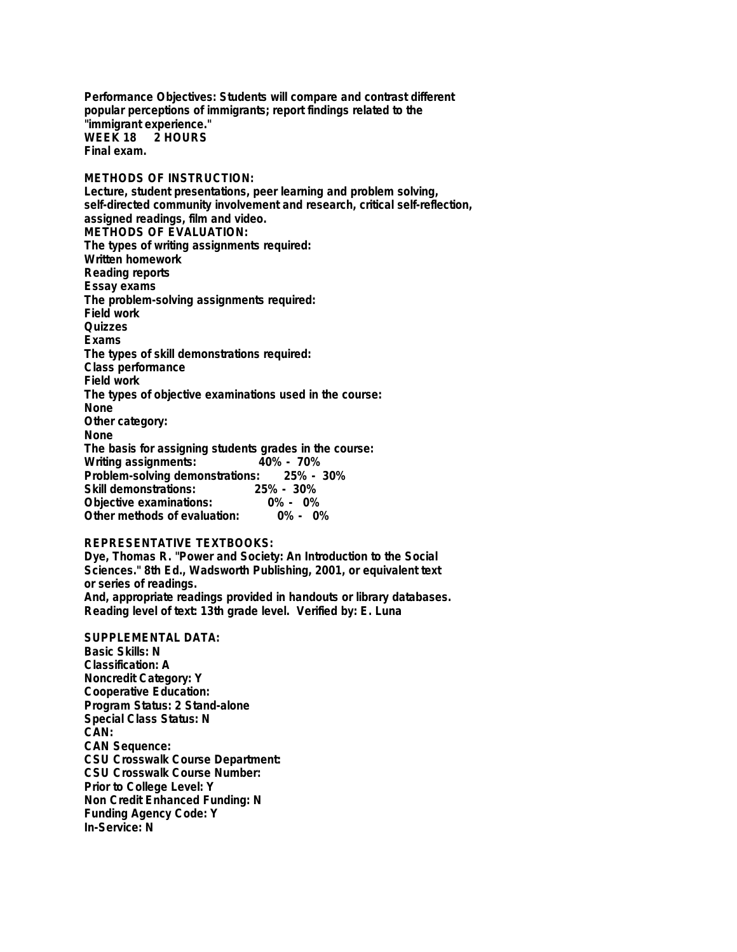**Performance Objectives: Students will compare and contrast different popular perceptions of immigrants; report findings related to the "immigrant experience." WEEK 18 Final exam.**

**METHODS OF INSTRUCTION: Lecture, student presentations, peer learning and problem solving, self-directed community involvement and research, critical self-reflection, assigned readings, film and video. METHODS OF EVALUATION: The types of writing assignments required: Written homework Reading reports Essay exams The problem-solving assignments required: Field work Quizzes Exams The types of skill demonstrations required: Class performance Field work The types of objective examinations used in the course: None Other category: None The basis for assigning students grades in the course: Writing assignments: Problem-solving demonstrations: 25% - 30% Skill demonstrations: 25% - 30% Objective examinations: 0% - 0% Other methods of evaluation:** 

## **REPRESENTATIVE TEXTBOOKS:**

**Dye, Thomas R. "Power and Society: An Introduction to the Social Sciences." 8th Ed., Wadsworth Publishing, 2001, or equivalent text or series of readings. And, appropriate readings provided in handouts or library databases. Reading level of text: 13th grade level. Verified by: E. Luna**

**SUPPLEMENTAL DATA: Basic Skills: N Classification: A Noncredit Category: Y Cooperative Education: Program Status: 2 Stand-alone Special Class Status: N CAN: CAN Sequence: CSU Crosswalk Course Department: CSU Crosswalk Course Number: Prior to College Level: Y Non Credit Enhanced Funding: N Funding Agency Code: Y In-Service: N**